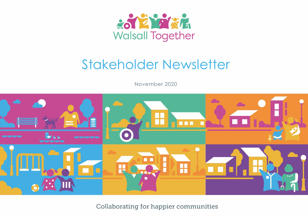

# Stakeholder Newsletter

November 2020



**Collaborating for happier communities**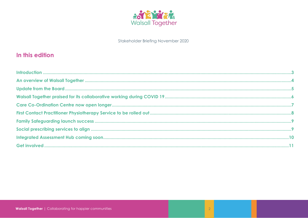

### In this edition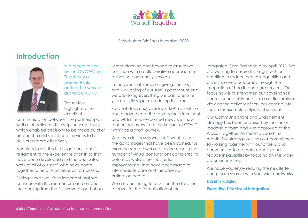

### <span id="page-2-0"></span>**Introduction**



In a recent review by the CQC Walsall Together was praised for its partnership working during COVID-19.

The review highlighted the excellent

communication between the partnership as well as effective multi-disciplinary meetings which enabled decisions to be made quicker and health and social care services to be delivered more effectively.

Needless to say this is a huge boost and is testament to the excellent relationships that have been developed and the dedicated work of all of our staff, who have come together to help us achieve our ambitions.

During wave two it's so important that we continue with this momentum and embed the learning from the first wave as part of our winter planning and beyond to ensure we continue with a collaborative approach to delivering community services.

In the year that keeps on giving, the health and well-being of our staff is paramount and we are doing everything we can to ensure you are fully supported during this time.

So what does next year look like? You will no doubt have heard that a vaccine is imminent and whilst this is welcomed news we know that our recovery from the impact of COVID won't be a short journey.

What we do know is we don't want to lose the advantages that have been gained, for example remote working, an increase in the number of virtual consultations compared to before as well as the substantial improvements that have been made to intermediate care and the care coordination centre.

We are continuing to focus on the direction of travel for the formalisation of the

Integrated Care Partnership by April 2021. We are working to ensure this aligns with our ambition to reduce health inequalities and drive improved outcomes through the integration of health and care services. Our focus now is to strengthen our governance and accountability and take a collaborative view on the delivery of services coming into scope for example outpatient services.

Our Communications and Engagement Strategy has been endorsed by the senior leadership team and was approved at the Walsall Together Partnership Board this month. This strategy outlines our commitment to working together with our citizens and communities to promote equality and reduce inequalities by focusing on the wider determinants health.

We hope you enjoy reading the newsletter and please share it with your wider networks.

#### **Daren Fradgley**

#### **Executive Director of Integration**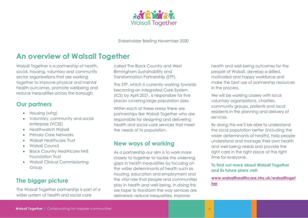

### <span id="page-3-0"></span>**An overview of Walsall Together**

Walsall Together is a partnership of health, social, housing, voluntary and community sector organisations that are working together to improve physical and mental health outcomes, promote wellbeing and reduce inequalities across the borough.

### **Our partners**

- Housing (whg)
- Voluntary, community and social enterprise (VCSE)
- Healthwatch Walsall
- Primary Care Networks
- Walsall Healthcare Trust
- Walsall Council
- Black Country Healthcare NHS Foundation Trust
- Walsall Clinical Commissioning Group

### **The bigger picture**

The Walsall Together partnership is part of a wider system of health and social care

called The Black Country and West Birmingham Sustainability and Transformation Partnership (STP).

The STP, which is currently working towards becoming an Integrated Care System (ICS) by April 2021, is responsible for five places covering large population sizes.

Within each of these areas there are partnerships like Walsall Together who are responsible for designing and delivering health and social care services that meet the needs of its population.

### **New ways of working**

As a partnership our aim is to work more closely to together to tackle the widening gaps in health inequalities by focusing on the wider determinants of health such as housing, education and employment and the vital role that people and communities play in health and well-being. In doing this we hope to transform the way services are delivered, reduce inequalities, improve

health and well-being outcomes for the people of Walsall, develop a skilled, motivated and happy workforce and make the best use of partnership resources in the process.

We will be working closely with local voluntary organisations, charities, community groups, patients and local residents in the planning and delivery of services.

By doing this we'll be able to understand the local population better (including the wider determinants of health), help people understand and manage their own health and well-being needs and provide the right care in the right place at the right time for everyone.

### **To find out more about Walsall Together and its future plans visit:**

**[www.walsallhealthcare.nhs.uk/walsalltoget](http://www.walsallhealthcare.nhs.uk/walsalltogether) [her](http://www.walsallhealthcare.nhs.uk/walsalltogether)**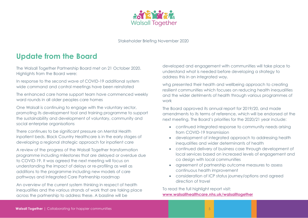

### <span id="page-4-0"></span>**Update from the Board**

The Walsall Together Partnership Board met on 21 October 2020. Highlights from the Board were:

In response to the second wave of COVID-19 additional system wide command and control meetings have been reinstated

The enhanced care home support team have commenced weekly ward rounds in all older peoples care homes

One Walsall is continuing to engage with the voluntary sector, promoting its development tool and training programme to support the sustainability and development of voluntary, community and social enterprise organisations

There continues to be significant pressure on Mental Health inpatient beds. Black Country Healthcare is in the early stages of developing a regional strategic approach for inpatient care

A review of the progress of the Walsall Together transformation programme including milestones that are delayed or overdue due to COVID-19. It was agreed the next meeting will focus on understanding the impact of delays or re-profiling as well as additions to the programme including new models of care pathways and Integrated Care Partnership roadmap

An overview of the current system thinking in respect of health inequalities and the various strands of work that are taking place across the partnership to address these. A bassline will be

developed and engagement with communities will take place to understand what is needed before developing a strategy to address this in an integrated way.

whg presented their health and wellbeing approach to creating resilient communities which focuses on reducing health inequalities and the wider detriments of health through various programmes of work

The Board approved its annual report for 2019/20, and made amendments to its terms of reference, which will be endorsed at the next meeting. The Board's priorities for the 2020/21 year include:

- continued integrated response to community needs arising from COVID-19 transmission
- development of integrated approach to addressing health inequalities and wider determinants of health
- continued delivery of business case through development of local services based on increased levels of engagement and co design with local communities
- agreement of partnership outcome measures to assess continuous health improvement
- consideration of ICP status journey/options and agreed direction of travel

To read the full highlight report visit: **[www.walsallhealthcare.nhs.uk/walsalltogether](http://www.walsallhealthcare.nhs.uk/walsalltogether)**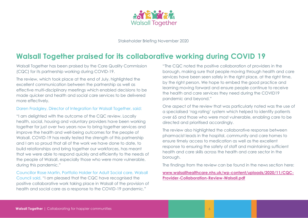

### <span id="page-5-0"></span>**Walsall Together praised for its collaborative working during COVID 19**

Walsall Together has been praised by the Care Quality Commission (CQC) for its partnership working during COVID-19.

The review, which took place at the end of July, highlighted the excellent communication between the partnership as well as effective multi-disciplinary meetings which enabled decisions to be made quicker and health and social care services to be delivered more effectively.

#### Daren Fradgley, Director of Integration for Walsall Together, said:

"I am delighted with the outcome of the CQC review. Locally health, social, housing and voluntary providers have been working together for just over two years now to bring together services and improve the health and well-being outcomes for the people of Walsall. COVID-19 has really tested the strength of this partnership and I am so proud that all of the work we have done to date, to build relationships and bring together our workforces, has meant that we were able to respond quickly and efficiently to the needs of the people of Walsall, especially those who were more vulnerable, during this pandemic."

Councillor Rose Martin, Portfolio Holder for Adult Social care, Walsall Council said, "I am pleased that the CQC have recognised the positive collaborative work taking place in Walsall of the provision of health and social care as a response to the COVID-19 pandemic."

"The CQC noted the positive collaboration of providers in the borough, making sure that people moving through health and care services have been seen safely in the right place, at the right time, by the right person. We hope to embed the good practice and learning moving forward and ensure people continue to receive the health and care services they need during the COVID19 pandemic and beyond."

One aspect of the review that was particularly noted was the use of a specialised 'rag rating' system which helped to identify patients over 65 and those who were most vulnerable, enabling care to be directed and prioritised accordingly.

The review also highlighted the collaborative response between pharmacist leads in the hospital, community and care homes to ensure timely access to medication as well as the excellent response to ensuring the safety of staff and maintaining sufficient health and care skills across the health and care sector in the borough.

The findings from the review can be found in the news section here:

#### **www.walsallhealthcare.nhs.uk/wp-content/uploads/2020/11/CQC-Provider-Collaboration-Review-Walsall.pdf**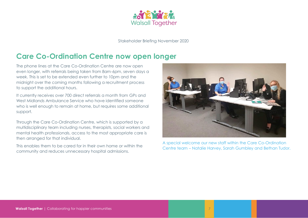

### <span id="page-6-0"></span>**Care Co-Ordination Centre now open longer**

The phone lines at the Care Co-Ordination Centre are now open even longer, with referrals being taken from 8am-6pm, seven days a week. This is set to be extended even further to 10pm and the midnight over the coming months following a recruitment process to support the additional hours.

It currently receives over 700 direct referrals a month from GPs and West Midlands Ambulance Service who have identified someone who is well enough to remain at home, but requires some additional support.

Through the Care Co-Ordination Centre, which is supported by a multidisciplinary team including nurses, therapists, social workers and mental health professionals, access to the most appropriate care is then arranged for that individual.

This enables them to be cared for in their own home or within the community and reduces unnecessary hospital admissions.



A special welcome our new staff within the Care Co-Ordination Centre team – Natalie Harvey, Sarah Gumbley and Bethan Tudor.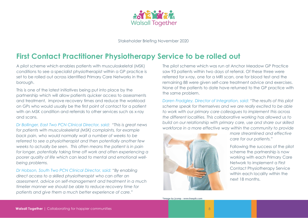

### <span id="page-7-0"></span>**First Contact Practitioner Physiotherapy Service to be rolled out**

A pilot scheme which enables patients with musculoskeletal (MSK) conditions to see a specialist physiotherapist within a GP practice is set to be rolled out across identified Primary Care Networks in the borough.

This is one of the latest initiatives being put into place by the partnership which will allow patients quicker access to assessments and treatment, improve recovery times and reduce the workload on GPs who would usually be the first point of contact for a patient with an MSK condition and referrals to other services such as x-ray and scans.

*Dr Bollinger, East Two PCN Clinical Director, said: "This is great news for patients with musculoskeletal (MSK) complaints, for example back pain, who would normally wait a number of weeks to be referred to see a physiotherapist and then potentially another few weeks to actually be seen. This often means the patient is in pain for longer, potentially taking time off work and often experiencing a poorer quality of life which can lead to mental and emotional wellbeing problems.* 

*Dr Hobson, South Two PCN Clinical Director, said:* "*By enabling direct access to a skilled physiotherapist who can offer an assessment, advice on self-management and treatment in a much timelier manner we should be able to reduce recovery time for patients and give them a much better experience of care."*

The pilot scheme which was run at Anchor Meadow GP Practice saw 93 patients within two days of referral. Of these three were referred for x-ray, one for a MRI scan, one for blood test and the remaining 88 were given self-care treatment advice and exercises. None of the patients to date have returned to the GP practice with the same problem.

*Daren Fradgley, Director of Integration, said: "The results of this pilot scheme speak for themselves and we are really excited to be able to work with our primary care colleagues to implement this across the different localities. This collaborative working has allowed us to build on our relationship with primary care, use and share our skilled workforce in a more effective way within the community to provide*



*more streamlined and effective care for our patients."*

Following the success of the pilot scheme the partnership is now working with each Primary Care Network to implement a First Contact Physiotherapy Service within each locality within the next 18 months.

**\*Image by jcomp - www.freepik.com**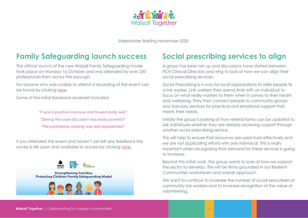

### <span id="page-8-0"></span>**Family Safeguarding launch success Social prescribing services to align**

The official launch of the new Walsall Family Safeguarding model took place on Monday 16 October and was attended by over 250 professionals from across the borough.

For anyone who was unable to attend a recording of the event can be found by clicking [here.](http://www.go.walsall.gov.uk/walsall-safeguarding-partnership/Professionals-Volunteers/Learning-and-Development/Podcasts-and-Webinars#10566690-walsall-family-safeguarding-launch)

Some of the initial feedback received included:

*"It was a positive overview and flowed really well" "Seeing the case discussion was really powerful" "The partnership working was well represented"*

If you attended the event and haven't yet left any feedback the survey is still open and available to access by clicking [here.](https://forms.office.com/Pages/ResponsePage.aspx?id=x3ncXWl-j0K6MISyShrZlBq1LeH4M69JuwC0E9LlkN9UQkFEVVRHSlk2UjlZWTBTODkxSlhXQzYxNy4u)



**Strengthening Families, Protecting Children Family Safeguarding Model** 



<span id="page-8-1"></span>A group has been set up and discussions have started between PCN Clinical Directors and whg to look at how we can align their social prescribing services.

Social Prescribing is a way for local organisations to refer people to a link worker. Link workers then spend time with an individual to focus on what really matters to them when it comes to their health and wellbeing. They then connect people to community groups and statutory services for practical and emotional support that meets their needs.

Initially the group is looking at how referral forms can be updated to ask individuals whether they are already receiving support through another social prescribing service.

This will help to ensure that resources are used most effectively and we are not duplicating efforts with one individual. This is really important when recognising that demand for these services is going to increase.

Beyond this initial work, the group wants to look at how we support the sector to develop. This will be firmly grounded in our Resilient Communities workstream and overall approach.

We want to continue to increase the number of social prescribers or community link workers and to increase recognition of the value of volunteering.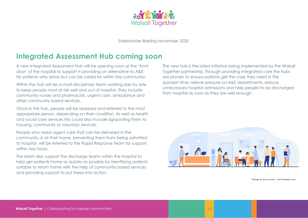

### <span id="page-9-0"></span>**Integrated Assessment Hub coming soon**

A new Integrated Assessment Hub will be opening soon at the 'front door' of the hospital to support in providing an alternative to A&E for patients who arrive but can be cared for within the community.

Within the hub will be a multi-disciplinary team working side by side to keep people most at risk well and out of hospital. They include community nurses and pharmacists, urgent care, ambulance and other community-based services.

Once in the hub, people will be assessed and referred to the most appropriate person, depending on their condition. As well as health and social care services this could also include signposting them to housing, community or voluntary services.

People who need urgent care that can be delivered in the community or at their home, preventing them from being admitted to hospital, will be referred to the Rapid Response Team for support within two hours.

The team also support the discharge teams within the hospital to help get patients home as quickly as possibly by identifying patients suitable to return home with the help of community based services and providing support to put these into action.

The new hub is the latest initiative being implemented by the Walsall Together partnership. Through providing integrated care the hubs are proven to ensure patients get the care they need in the quickest time, relieve pressure on A&E departments, reduce unnecessary hospital admissions and help people to be discharged from hospital as soon as they are well enough.



**\*Image by pch.vector - www.freepik.com**